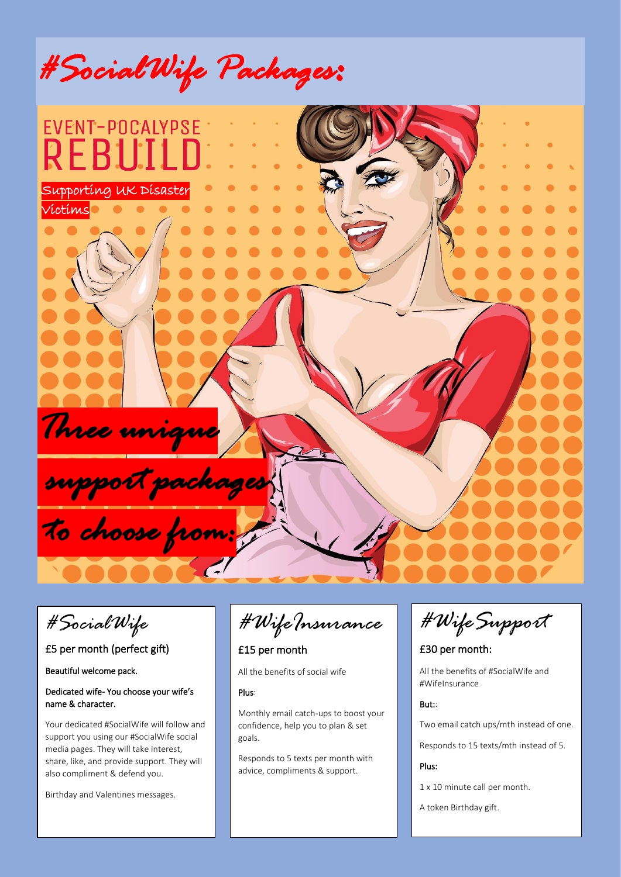



*#SocialWife* 

# £5 per month (perfect gift)

Beautiful welcome pack.

### Dedicated wife- You choose your wife's name & character.

Your dedicated #SocialWife will follow and support you using our #SocialWife social media pages. They will take interest, share, like, and provide support. They will also compliment & defend you.

Birthday and Valentines messages.

*#WifeInsurance*

## £15 per month

All the benefits of social wife

#### Plus:

Monthly email catch-ups to boost your confidence, help you to plan & set goals.

Responds to 5 texts per month with advice, compliments & support.

*#WifeSupport* 

£30 per month:

All the benefits of #SocialWife and #WifeInsurance

#### But::

Two email catch ups/mth instead of one.

Responds to 15 texts/mth instead of 5.

#### Plus:

1 x 10 minute call per month.

A token Birthday gift.